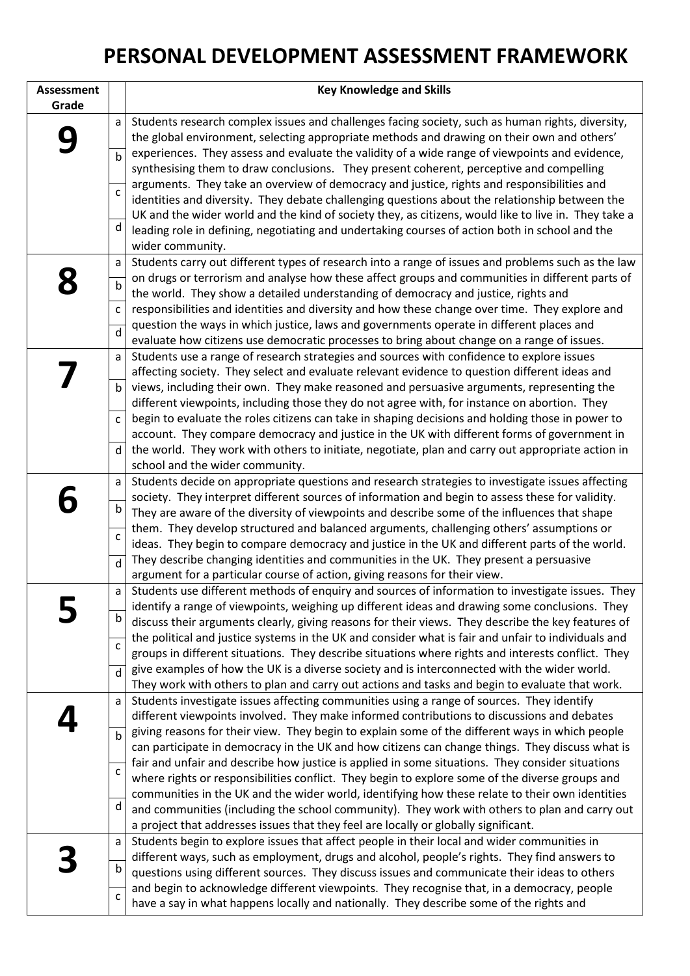## **PERSONAL DEVELOPMENT ASSESSMENT FRAMEWORK**

| <b>Assessment</b> |              | <b>Key Knowledge and Skills</b>                                                                                                                                                                      |
|-------------------|--------------|------------------------------------------------------------------------------------------------------------------------------------------------------------------------------------------------------|
| Grade             |              |                                                                                                                                                                                                      |
|                   | a            | Students research complex issues and challenges facing society, such as human rights, diversity,                                                                                                     |
|                   |              | the global environment, selecting appropriate methods and drawing on their own and others'                                                                                                           |
|                   | $\mathbf b$  | experiences. They assess and evaluate the validity of a wide range of viewpoints and evidence,                                                                                                       |
|                   |              | synthesising them to draw conclusions. They present coherent, perceptive and compelling                                                                                                              |
|                   | $\mathsf{C}$ | arguments. They take an overview of democracy and justice, rights and responsibilities and                                                                                                           |
|                   |              | identities and diversity. They debate challenging questions about the relationship between the                                                                                                       |
|                   |              | UK and the wider world and the kind of society they, as citizens, would like to live in. They take a                                                                                                 |
|                   | d            | leading role in defining, negotiating and undertaking courses of action both in school and the                                                                                                       |
|                   |              | wider community.                                                                                                                                                                                     |
|                   | a            | Students carry out different types of research into a range of issues and problems such as the law                                                                                                   |
|                   | $\mathsf b$  | on drugs or terrorism and analyse how these affect groups and communities in different parts of                                                                                                      |
|                   |              | the world. They show a detailed understanding of democracy and justice, rights and                                                                                                                   |
|                   | $\mathsf{C}$ | responsibilities and identities and diversity and how these change over time. They explore and                                                                                                       |
|                   | $\mathsf{d}$ | question the ways in which justice, laws and governments operate in different places and                                                                                                             |
|                   |              | evaluate how citizens use democratic processes to bring about change on a range of issues.                                                                                                           |
|                   | a            | Students use a range of research strategies and sources with confidence to explore issues                                                                                                            |
|                   |              | affecting society. They select and evaluate relevant evidence to question different ideas and                                                                                                        |
|                   | $\mathsf b$  | views, including their own. They make reasoned and persuasive arguments, representing the                                                                                                            |
|                   |              | different viewpoints, including those they do not agree with, for instance on abortion. They                                                                                                         |
|                   | $\mathsf C$  | begin to evaluate the roles citizens can take in shaping decisions and holding those in power to                                                                                                     |
|                   |              | account. They compare democracy and justice in the UK with different forms of government in                                                                                                          |
|                   | $\mathsf{d}$ | the world. They work with others to initiate, negotiate, plan and carry out appropriate action in                                                                                                    |
|                   |              | school and the wider community.                                                                                                                                                                      |
|                   | a            | Students decide on appropriate questions and research strategies to investigate issues affecting<br>society. They interpret different sources of information and begin to assess these for validity. |
|                   | b            | They are aware of the diversity of viewpoints and describe some of the influences that shape                                                                                                         |
|                   |              | them. They develop structured and balanced arguments, challenging others' assumptions or                                                                                                             |
|                   | $\mathsf C$  | ideas. They begin to compare democracy and justice in the UK and different parts of the world.                                                                                                       |
|                   | $\mathsf{d}$ | They describe changing identities and communities in the UK. They present a persuasive                                                                                                               |
|                   |              | argument for a particular course of action, giving reasons for their view.                                                                                                                           |
|                   | $\mathsf{a}$ | Students use different methods of enquiry and sources of information to investigate issues. They                                                                                                     |
|                   |              | identify a range of viewpoints, weighing up different ideas and drawing some conclusions. They                                                                                                       |
|                   | $\mathsf b$  | discuss their arguments clearly, giving reasons for their views. They describe the key features of                                                                                                   |
|                   |              | the political and justice systems in the UK and consider what is fair and unfair to individuals and                                                                                                  |
|                   | $\mathsf{C}$ | groups in different situations. They describe situations where rights and interests conflict. They                                                                                                   |
|                   | d            | give examples of how the UK is a diverse society and is interconnected with the wider world.                                                                                                         |
|                   |              | They work with others to plan and carry out actions and tasks and begin to evaluate that work.                                                                                                       |
|                   | a            | Students investigate issues affecting communities using a range of sources. They identify                                                                                                            |
|                   |              | different viewpoints involved. They make informed contributions to discussions and debates                                                                                                           |
|                   | $\mathbf b$  | giving reasons for their view. They begin to explain some of the different ways in which people                                                                                                      |
|                   |              | can participate in democracy in the UK and how citizens can change things. They discuss what is                                                                                                      |
|                   | C            | fair and unfair and describe how justice is applied in some situations. They consider situations                                                                                                     |
|                   |              | where rights or responsibilities conflict. They begin to explore some of the diverse groups and                                                                                                      |
|                   | d            | communities in the UK and the wider world, identifying how these relate to their own identities                                                                                                      |
|                   |              | and communities (including the school community). They work with others to plan and carry out                                                                                                        |
|                   |              | a project that addresses issues that they feel are locally or globally significant.                                                                                                                  |
|                   | a            | Students begin to explore issues that affect people in their local and wider communities in                                                                                                          |
|                   | b            | different ways, such as employment, drugs and alcohol, people's rights. They find answers to                                                                                                         |
|                   |              | questions using different sources. They discuss issues and communicate their ideas to others                                                                                                         |
|                   | C            | and begin to acknowledge different viewpoints. They recognise that, in a democracy, people<br>have a say in what happens locally and nationally. They describe some of the rights and                |
|                   |              |                                                                                                                                                                                                      |